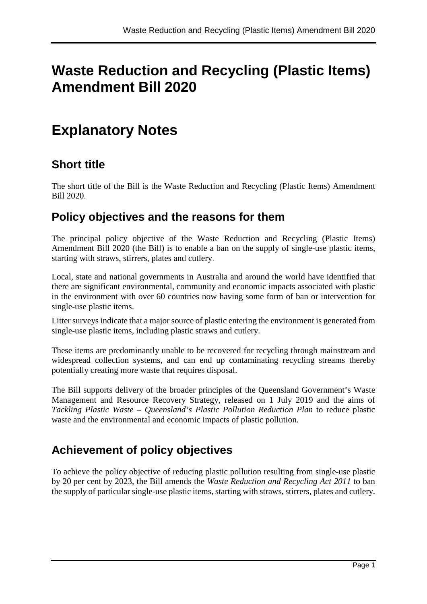# **Waste Reduction and Recycling (Plastic Items) Amendment Bill 2020**

# **Explanatory Notes**

## **Short title**

The short title of the Bill is the Waste Reduction and Recycling (Plastic Items) Amendment Bill 2020.

### **Policy objectives and the reasons for them**

The principal policy objective of the Waste Reduction and Recycling (Plastic Items) Amendment Bill 2020 (the Bill) is to enable a ban on the supply of single-use plastic items, starting with straws, stirrers, plates and cutlery.

Local, state and national governments in Australia and around the world have identified that there are significant environmental, community and economic impacts associated with plastic in the environment with over 60 countries now having some form of ban or intervention for single-use plastic items.

Litter surveys indicate that a major source of plastic entering the environment is generated from single-use plastic items, including plastic straws and cutlery.

These items are predominantly unable to be recovered for recycling through mainstream and widespread collection systems, and can end up contaminating recycling streams thereby potentially creating more waste that requires disposal.

The Bill supports delivery of the broader principles of the Queensland Government's Waste Management and Resource Recovery Strategy, released on 1 July 2019 and the aims of *Tackling Plastic Waste – Queensland's Plastic Pollution Reduction Plan* to reduce plastic waste and the environmental and economic impacts of plastic pollution.

# **Achievement of policy objectives**

To achieve the policy objective of reducing plastic pollution resulting from single-use plastic by 20 per cent by 2023, the Bill amends the *Waste Reduction and Recycling Act 2011* to ban the supply of particular single-use plastic items, starting with straws, stirrers, plates and cutlery.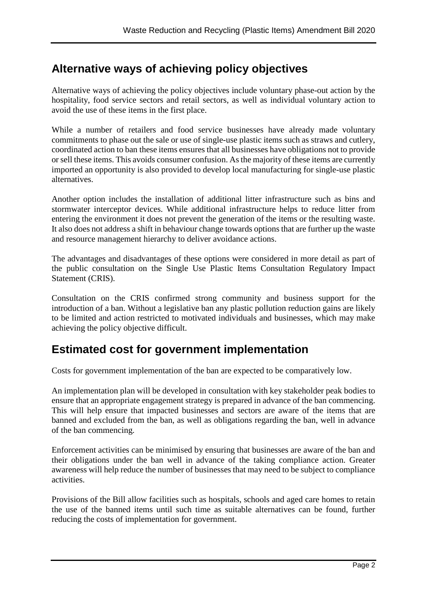## **Alternative ways of achieving policy objectives**

Alternative ways of achieving the policy objectives include voluntary phase-out action by the hospitality, food service sectors and retail sectors, as well as individual voluntary action to avoid the use of these items in the first place.

While a number of retailers and food service businesses have already made voluntary commitments to phase out the sale or use of single-use plastic items such as straws and cutlery, coordinated action to ban these items ensures that all businesses have obligations not to provide or sell these items. This avoids consumer confusion. As the majority of these items are currently imported an opportunity is also provided to develop local manufacturing for single-use plastic alternatives.

Another option includes the installation of additional litter infrastructure such as bins and stormwater interceptor devices. While additional infrastructure helps to reduce litter from entering the environment it does not prevent the generation of the items or the resulting waste. It also does not address a shift in behaviour change towards options that are further up the waste and resource management hierarchy to deliver avoidance actions.

The advantages and disadvantages of these options were considered in more detail as part of the public consultation on the Single Use Plastic Items Consultation Regulatory Impact Statement (CRIS).

Consultation on the CRIS confirmed strong community and business support for the introduction of a ban. Without a legislative ban any plastic pollution reduction gains are likely to be limited and action restricted to motivated individuals and businesses, which may make achieving the policy objective difficult.

## **Estimated cost for government implementation**

Costs for government implementation of the ban are expected to be comparatively low.

An implementation plan will be developed in consultation with key stakeholder peak bodies to ensure that an appropriate engagement strategy is prepared in advance of the ban commencing. This will help ensure that impacted businesses and sectors are aware of the items that are banned and excluded from the ban, as well as obligations regarding the ban, well in advance of the ban commencing.

Enforcement activities can be minimised by ensuring that businesses are aware of the ban and their obligations under the ban well in advance of the taking compliance action. Greater awareness will help reduce the number of businesses that may need to be subject to compliance activities.

Provisions of the Bill allow facilities such as hospitals, schools and aged care homes to retain the use of the banned items until such time as suitable alternatives can be found, further reducing the costs of implementation for government.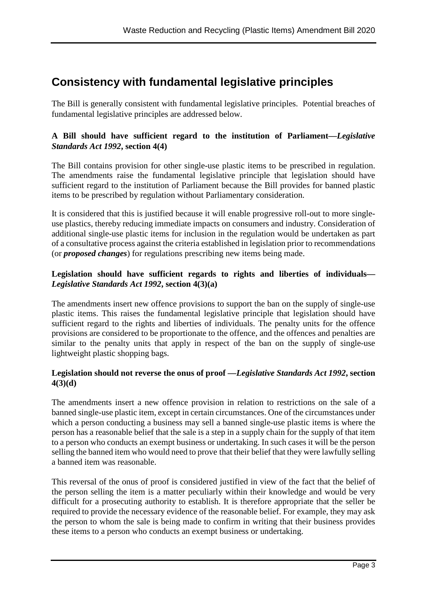## **Consistency with fundamental legislative principles**

The Bill is generally consistent with fundamental legislative principles. Potential breaches of fundamental legislative principles are addressed below.

### **A Bill should have sufficient regard to the institution of Parliament—***Legislative Standards Act 1992***, section 4(4)**

The Bill contains provision for other single-use plastic items to be prescribed in regulation. The amendments raise the fundamental legislative principle that legislation should have sufficient regard to the institution of Parliament because the Bill provides for banned plastic items to be prescribed by regulation without Parliamentary consideration.

It is considered that this is justified because it will enable progressive roll-out to more singleuse plastics, thereby reducing immediate impacts on consumers and industry. Consideration of additional single-use plastic items for inclusion in the regulation would be undertaken as part of a consultative process against the criteria established in legislation prior to recommendations (or *proposed changes*) for regulations prescribing new items being made.

### **Legislation should have sufficient regards to rights and liberties of individuals—** *Legislative Standards Act 1992***, section 4(3)(a)**

The amendments insert new offence provisions to support the ban on the supply of single-use plastic items. This raises the fundamental legislative principle that legislation should have sufficient regard to the rights and liberties of individuals. The penalty units for the offence provisions are considered to be proportionate to the offence, and the offences and penalties are similar to the penalty units that apply in respect of the ban on the supply of single-use lightweight plastic shopping bags.

### **Legislation should not reverse the onus of proof —***Legislative Standards Act 1992***, section 4(3)(d)**

The amendments insert a new offence provision in relation to restrictions on the sale of a banned single-use plastic item, except in certain circumstances. One of the circumstances under which a person conducting a business may sell a banned single-use plastic items is where the person has a reasonable belief that the sale is a step in a supply chain for the supply of that item to a person who conducts an exempt business or undertaking. In such cases it will be the person selling the banned item who would need to prove that their belief that they were lawfully selling a banned item was reasonable.

This reversal of the onus of proof is considered justified in view of the fact that the belief of the person selling the item is a matter peculiarly within their knowledge and would be very difficult for a prosecuting authority to establish. It is therefore appropriate that the seller be required to provide the necessary evidence of the reasonable belief. For example, they may ask the person to whom the sale is being made to confirm in writing that their business provides these items to a person who conducts an exempt business or undertaking.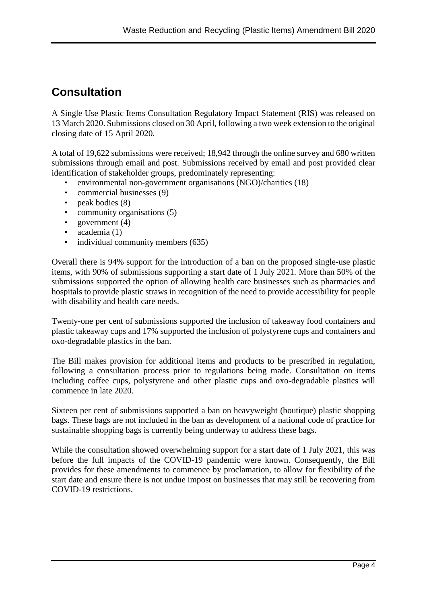# **Consultation**

A Single Use Plastic Items Consultation Regulatory Impact Statement (RIS) was released on 13 March 2020. Submissions closed on 30 April, following a two week extension to the original closing date of 15 April 2020.

A total of 19,622 submissions were received; 18,942 through the online survey and 680 written submissions through email and post. Submissions received by email and post provided clear identification of stakeholder groups, predominately representing:

- environmental non-government organisations (NGO)/charities (18)
- commercial businesses (9)
- peak bodies (8)
- community organisations (5)
- government  $(4)$
- academia (1)
- individual community members (635)

Overall there is 94% support for the introduction of a ban on the proposed single-use plastic items, with 90% of submissions supporting a start date of 1 July 2021. More than 50% of the submissions supported the option of allowing health care businesses such as pharmacies and hospitals to provide plastic straws in recognition of the need to provide accessibility for people with disability and health care needs.

Twenty-one per cent of submissions supported the inclusion of takeaway food containers and plastic takeaway cups and 17% supported the inclusion of polystyrene cups and containers and oxo-degradable plastics in the ban.

The Bill makes provision for additional items and products to be prescribed in regulation, following a consultation process prior to regulations being made. Consultation on items including coffee cups, polystyrene and other plastic cups and oxo-degradable plastics will commence in late 2020.

Sixteen per cent of submissions supported a ban on heavyweight (boutique) plastic shopping bags. These bags are not included in the ban as development of a national code of practice for sustainable shopping bags is currently being underway to address these bags.

While the consultation showed overwhelming support for a start date of 1 July 2021, this was before the full impacts of the COVID-19 pandemic were known. Consequently, the Bill provides for these amendments to commence by proclamation, to allow for flexibility of the start date and ensure there is not undue impost on businesses that may still be recovering from COVID-19 restrictions.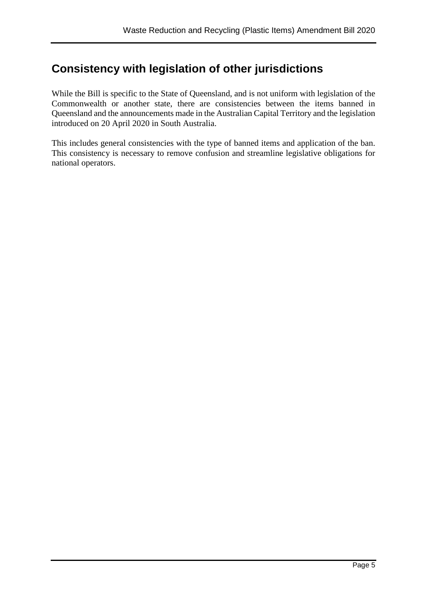### **Consistency with legislation of other jurisdictions**

While the Bill is specific to the State of Queensland, and is not uniform with legislation of the Commonwealth or another state, there are consistencies between the items banned in Queensland and the announcements made in the Australian Capital Territory and the legislation introduced on 20 April 2020 in South Australia.

This includes general consistencies with the type of banned items and application of the ban. This consistency is necessary to remove confusion and streamline legislative obligations for national operators.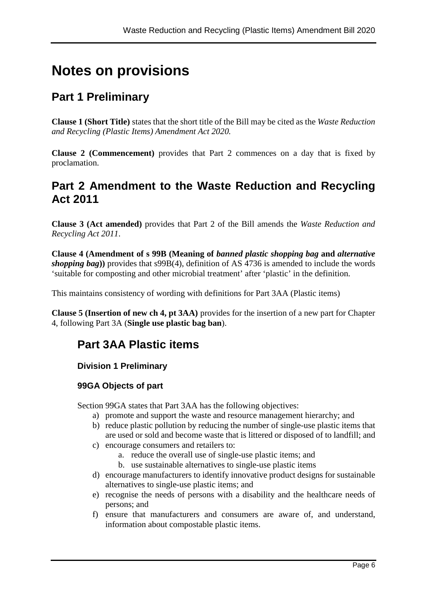# **Notes on provisions**

# **Part 1 Preliminary**

**Clause 1 (Short Title)** states that the short title of the Bill may be cited as the *Waste Reduction and Recycling (Plastic Items) Amendment Act 2020.*

**Clause 2 (Commencement)** provides that Part 2 commences on a day that is fixed by proclamation.

### **Part 2 Amendment to the Waste Reduction and Recycling Act 2011**

**Clause 3 (Act amended)** provides that Part 2 of the Bill amends the *Waste Reduction and Recycling Act 2011*.

**Clause 4 (Amendment of s 99B (Meaning of** *banned plastic shopping bag* **and** *alternative shopping bag***))** provides that s99B(4), definition of AS 4736 is amended to include the words 'suitable for composting and other microbial treatment' after 'plastic' in the definition.

This maintains consistency of wording with definitions for Part 3AA (Plastic items)

**Clause 5 (Insertion of new ch 4, pt 3AA)** provides for the insertion of a new part for Chapter 4, following Part 3A (**Single use plastic bag ban**).

# **Part 3AA Plastic items**

### **Division 1 Preliminary**

### **99GA Objects of part**

Section 99GA states that Part 3AA has the following objectives:

- a) promote and support the waste and resource management hierarchy; and
- b) reduce plastic pollution by reducing the number of single-use plastic items that are used or sold and become waste that is littered or disposed of to landfill; and
- c) encourage consumers and retailers to:
	- a. reduce the overall use of single-use plastic items; and
	- b. use sustainable alternatives to single-use plastic items
- d) encourage manufacturers to identify innovative product designs for sustainable alternatives to single-use plastic items; and
- e) recognise the needs of persons with a disability and the healthcare needs of persons; and
- f) ensure that manufacturers and consumers are aware of, and understand, information about compostable plastic items.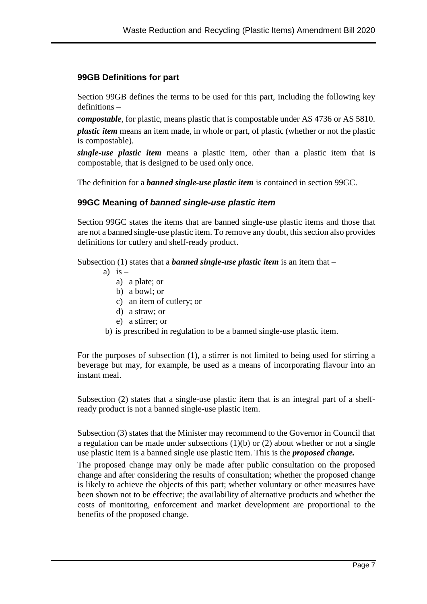#### **99GB Definitions for part**

Section 99GB defines the terms to be used for this part, including the following key definitions –

*compostable*, for plastic, means plastic that is compostable under AS 4736 or AS 5810.

*plastic item* means an item made, in whole or part, of plastic (whether or not the plastic is compostable).

*single-use plastic item* means a plastic item, other than a plastic item that is compostable, that is designed to be used only once.

The definition for a *banned single-use plastic item* is contained in section 99GC.

#### **99GC Meaning of** *banned single-use plastic item*

Section 99GC states the items that are banned single-use plastic items and those that are not a banned single-use plastic item. To remove any doubt, this section also provides definitions for cutlery and shelf-ready product.

Subsection (1) states that a *banned single-use plastic item* is an item that –

- a) is  $$ 
	- a) a plate; or
	- b) a bowl; or
	- c) an item of cutlery; or
	- d) a straw; or
	- e) a stirrer; or
- b) is prescribed in regulation to be a banned single-use plastic item.

For the purposes of subsection (1), a stirrer is not limited to being used for stirring a beverage but may, for example, be used as a means of incorporating flavour into an instant meal.

Subsection (2) states that a single-use plastic item that is an integral part of a shelfready product is not a banned single-use plastic item.

Subsection (3) states that the Minister may recommend to the Governor in Council that a regulation can be made under subsections (1)(b) or (2) about whether or not a single use plastic item is a banned single use plastic item. This is the *proposed change.* 

The proposed change may only be made after public consultation on the proposed change and after considering the results of consultation; whether the proposed change is likely to achieve the objects of this part; whether voluntary or other measures have been shown not to be effective; the availability of alternative products and whether the costs of monitoring, enforcement and market development are proportional to the benefits of the proposed change.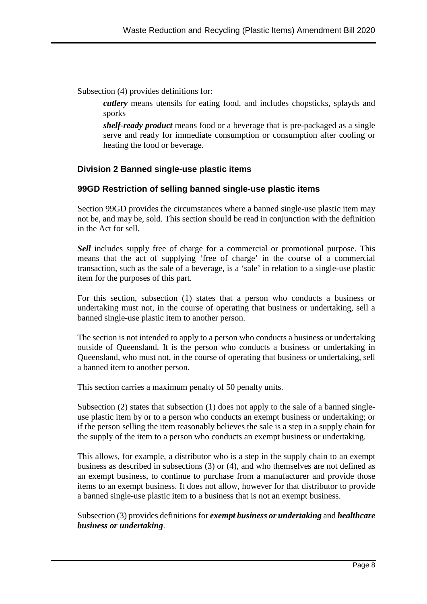Subsection (4) provides definitions for:

*cutlery* means utensils for eating food, and includes chopsticks, splayds and sporks

*shelf-ready product* means food or a beverage that is pre-packaged as a single serve and ready for immediate consumption or consumption after cooling or heating the food or beverage.

### **Division 2 Banned single-use plastic items**

#### **99GD Restriction of selling banned single-use plastic items**

Section 99GD provides the circumstances where a banned single-use plastic item may not be, and may be, sold. This section should be read in conjunction with the definition in the Act for sell.

*Sell* includes supply free of charge for a commercial or promotional purpose. This means that the act of supplying 'free of charge' in the course of a commercial transaction, such as the sale of a beverage, is a 'sale' in relation to a single-use plastic item for the purposes of this part.

For this section, subsection (1) states that a person who conducts a business or undertaking must not, in the course of operating that business or undertaking, sell a banned single-use plastic item to another person.

The section is not intended to apply to a person who conducts a business or undertaking outside of Queensland. It is the person who conducts a business or undertaking in Queensland, who must not, in the course of operating that business or undertaking, sell a banned item to another person.

This section carries a maximum penalty of 50 penalty units.

Subsection (2) states that subsection (1) does not apply to the sale of a banned singleuse plastic item by or to a person who conducts an exempt business or undertaking; or if the person selling the item reasonably believes the sale is a step in a supply chain for the supply of the item to a person who conducts an exempt business or undertaking.

This allows, for example, a distributor who is a step in the supply chain to an exempt business as described in subsections (3) or (4), and who themselves are not defined as an exempt business, to continue to purchase from a manufacturer and provide those items to an exempt business. It does not allow, however for that distributor to provide a banned single-use plastic item to a business that is not an exempt business.

Subsection (3) provides definitions for *exempt business or undertaking* and *healthcare business or undertaking*.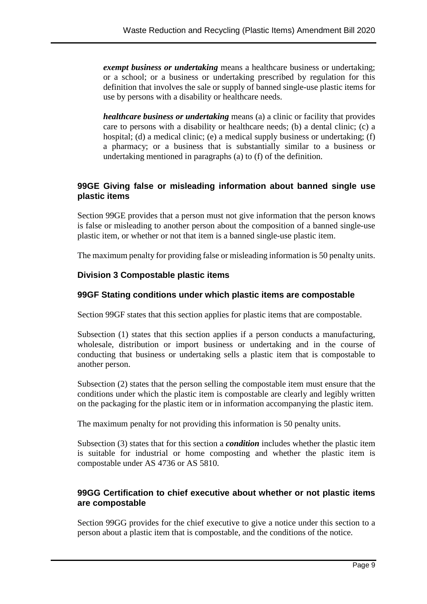*exempt business or undertaking* means a healthcare business or undertaking; or a school; or a business or undertaking prescribed by regulation for this definition that involves the sale or supply of banned single-use plastic items for use by persons with a disability or healthcare needs.

*healthcare business or undertaking* means (a) a clinic or facility that provides care to persons with a disability or healthcare needs; (b) a dental clinic; (c) a hospital; (d) a medical clinic; (e) a medical supply business or undertaking; (f) a pharmacy; or a business that is substantially similar to a business or undertaking mentioned in paragraphs (a) to (f) of the definition.

### **99GE Giving false or misleading information about banned single use plastic items**

Section 99GE provides that a person must not give information that the person knows is false or misleading to another person about the composition of a banned single-use plastic item, or whether or not that item is a banned single-use plastic item.

The maximum penalty for providing false or misleading information is 50 penalty units.

### **Division 3 Compostable plastic items**

### **99GF Stating conditions under which plastic items are compostable**

Section 99GF states that this section applies for plastic items that are compostable.

Subsection (1) states that this section applies if a person conducts a manufacturing, wholesale, distribution or import business or undertaking and in the course of conducting that business or undertaking sells a plastic item that is compostable to another person.

Subsection (2) states that the person selling the compostable item must ensure that the conditions under which the plastic item is compostable are clearly and legibly written on the packaging for the plastic item or in information accompanying the plastic item.

The maximum penalty for not providing this information is 50 penalty units.

Subsection (3) states that for this section a *condition* includes whether the plastic item is suitable for industrial or home composting and whether the plastic item is compostable under AS 4736 or AS 5810.

### **99GG Certification to chief executive about whether or not plastic items are compostable**

Section 99GG provides for the chief executive to give a notice under this section to a person about a plastic item that is compostable, and the conditions of the notice.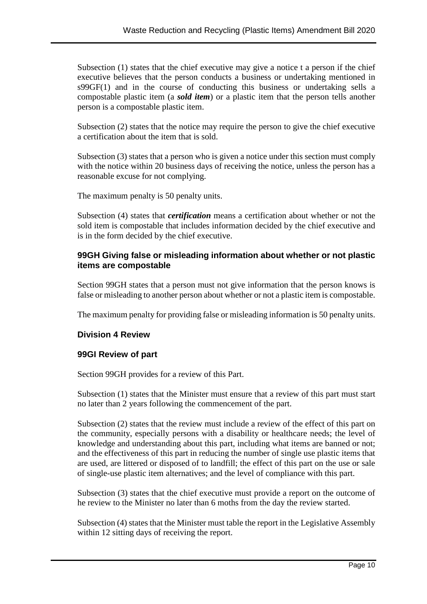Subsection (1) states that the chief executive may give a notice t a person if the chief executive believes that the person conducts a business or undertaking mentioned in s99GF(1) and in the course of conducting this business or undertaking sells a compostable plastic item (a *sold item*) or a plastic item that the person tells another person is a compostable plastic item.

Subsection (2) states that the notice may require the person to give the chief executive a certification about the item that is sold.

Subsection (3) states that a person who is given a notice under this section must comply with the notice within 20 business days of receiving the notice, unless the person has a reasonable excuse for not complying.

The maximum penalty is 50 penalty units.

Subsection (4) states that *certification* means a certification about whether or not the sold item is compostable that includes information decided by the chief executive and is in the form decided by the chief executive.

### **99GH Giving false or misleading information about whether or not plastic items are compostable**

Section 99GH states that a person must not give information that the person knows is false or misleading to another person about whether or not a plastic item is compostable.

The maximum penalty for providing false or misleading information is 50 penalty units.

#### **Division 4 Review**

#### **99GI Review of part**

Section 99GH provides for a review of this Part.

Subsection (1) states that the Minister must ensure that a review of this part must start no later than 2 years following the commencement of the part.

Subsection (2) states that the review must include a review of the effect of this part on the community, especially persons with a disability or healthcare needs; the level of knowledge and understanding about this part, including what items are banned or not; and the effectiveness of this part in reducing the number of single use plastic items that are used, are littered or disposed of to landfill; the effect of this part on the use or sale of single-use plastic item alternatives; and the level of compliance with this part.

Subsection (3) states that the chief executive must provide a report on the outcome of he review to the Minister no later than 6 moths from the day the review started.

Subsection (4) states that the Minister must table the report in the Legislative Assembly within 12 sitting days of receiving the report.